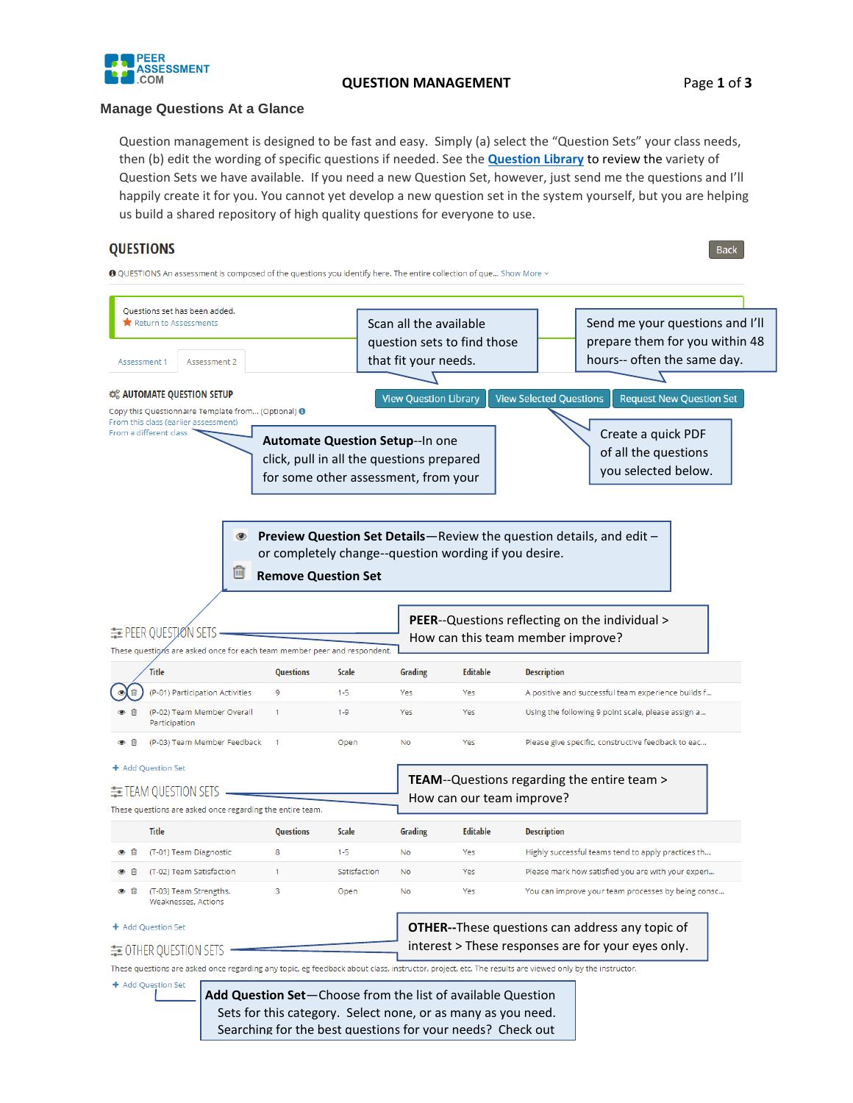

#### **QUESTION MANAGEMENT** Page **1** of **3**

**Back** 

#### **Manage Questions At a Glance**

Question management is designed to be fast and easy. Simply (a) select the "Question Sets" your class needs, then (b) edit the wording of specific questions if needed. See the **[Question Library](https://peerassessment.com/question-library/#1549491770119-89184eaf-6c4c)** to review the variety of Question Sets we have available. If you need a new Question Set, however, just send me the questions and I'll happily create it for you. You cannot yet develop a new question set in the system yourself, but you are helping us build a shared repository of high quality questions for everyone to use.

# **QUESTIONS**

❶ OUESTIONS An assessment is composed of the questions you identify here. The entire collection of que... Show More  $\sim$ 

the Question Library.

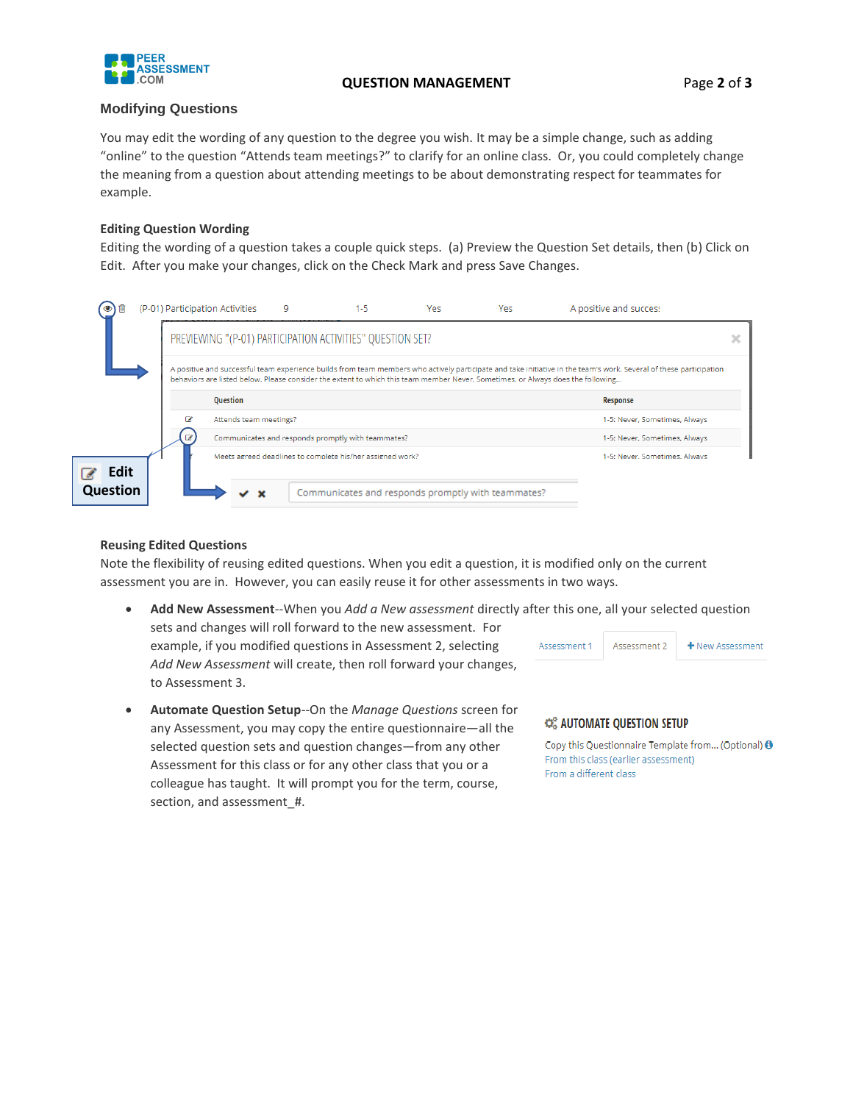

### **QUESTION MANAGEMENT** Page **2** of **3**

## **Modifying Questions**

You may edit the wording of any question to the degree you wish. It may be a simple change, such as adding "online" to the question "Attends team meetings?" to clarify for an online class. Or, you could completely change the meaning from a question about attending meetings to be about demonstrating respect for teammates for example.

## **Editing Question Wording**

Editing the wording of a question takes a couple quick steps. (a) Preview the Question Set details, then (b) Click on Edit. After you make your changes, click on the Check Mark and press Save Changes.



#### **Reusing Edited Questions**

Note the flexibility of reusing edited questions. When you edit a question, it is modified only on the current assessment you are in. However, you can easily reuse it for other assessments in two ways.

- **Add New Assessment**--When you *Add a New assessment* directly after this one, all your selected question sets and changes will roll forward to the new assessment. For example, if you modified questions in Assessment 2, selecting Assessment 1 Assessment 2 + New Assessment *Add New Assessment* will create, then roll forward your changes, to Assessment 3.
- **Automate Question Setup**--On the *Manage Questions* screen for any Assessment, you may copy the entire questionnaire—all the selected question sets and question changes—from any other Assessment for this class or for any other class that you or a colleague has taught. It will prompt you for the term, course, section, and assessment #.

### CE AUTOMATE QUESTION SETUP

Copy this Questionnaire Template from... (Optional) <sup>(1)</sup> From this class (earlier assessment) From a different class